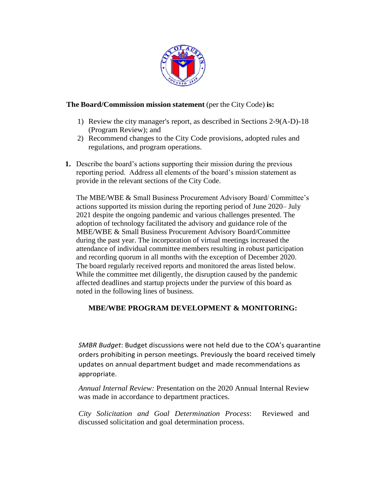

### **The Board/Commission mission statement** (per the City Code) **is:**

- 1) Review the city manager's report, as described in Sections 2-9(A-D)-18 (Program Review); and
- 2) Recommend changes to the City Code provisions, adopted rules and regulations, and program operations.
- **1.** Describe the board's actions supporting their mission during the previous reporting period. Address all elements of the board's mission statement as provide in the relevant sections of the City Code.

The MBE/WBE & Small Business Procurement Advisory Board/ Committee's actions supported its mission during the reporting period of June 2020– July 2021 despite the ongoing pandemic and various challenges presented. The adoption of technology facilitated the advisory and guidance role of the MBE/WBE & Small Business Procurement Advisory Board/Committee during the past year. The incorporation of virtual meetings increased the attendance of individual committee members resulting in robust participation and recording quorum in all months with the exception of December 2020. The board regularly received reports and monitored the areas listed below. While the committee met diligently, the disruption caused by the pandemic affected deadlines and startup projects under the purview of this board as noted in the following lines of business.

# **MBE/WBE PROGRAM DEVELOPMENT & MONITORING:**

*SMBR Budget*: Budget discussions were not held due to the COA's quarantine orders prohibiting in person meetings. Previously the board received timely updates on annual department budget and made recommendations as appropriate.

*Annual Internal Review:* Presentation on the 2020 Annual Internal Review was made in accordance to department practices*.*

*City Solicitation and Goal Determination Process*: Reviewed and discussed solicitation and goal determination process.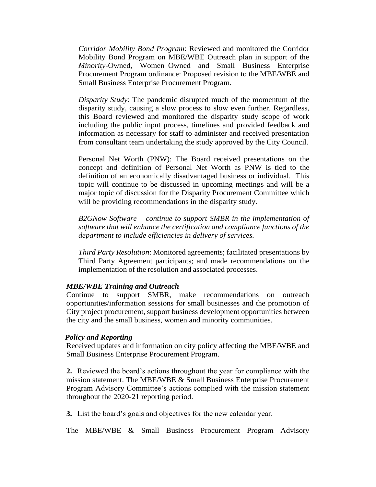*Corridor Mobility Bond Program*: Reviewed and monitored the Corridor Mobility Bond Program on MBE/WBE Outreach plan in support of the *Minority*-Owned, Women–Owned and Small Business Enterprise Procurement Program ordinance: Proposed revision to the MBE/WBE and Small Business Enterprise Procurement Program.

*Disparity Study*: The pandemic disrupted much of the momentum of the disparity study, causing a slow process to slow even further. Regardless, this Board reviewed and monitored the disparity study scope of work including the public input process, timelines and provided feedback and information as necessary for staff to administer and received presentation from consultant team undertaking the study approved by the City Council.

Personal Net Worth (PNW): The Board received presentations on the concept and definition of Personal Net Worth as PNW is tied to the definition of an economically disadvantaged business or individual. This topic will continue to be discussed in upcoming meetings and will be a major topic of discussion for the Disparity Procurement Committee which will be providing recommendations in the disparity study.

*B2GNow Software – continue to support SMBR in the implementation of software that will enhance the certification and compliance functions of the department to include efficiencies in delivery of services.*

*Third Party Resolution*: Monitored agreements; facilitated presentations by Third Party Agreement participants; and made recommendations on the implementation of the resolution and associated processes.

#### *MBE/WBE Training and Outreach*

Continue to support SMBR, make recommendations on outreach opportunities/information sessions for small businesses and the promotion of City project procurement, support business development opportunities between the city and the small business, women and minority communities.

#### *Policy and Reporting*

Received updates and information on city policy affecting the MBE/WBE and Small Business Enterprise Procurement Program.

**2.** Reviewed the board's actions throughout the year for compliance with the mission statement. The MBE/WBE & Small Business Enterprise Procurement Program Advisory Committee's actions complied with the mission statement throughout the 2020-21 reporting period.

**3.** List the board's goals and objectives for the new calendar year.

The MBE/WBE & Small Business Procurement Program Advisory